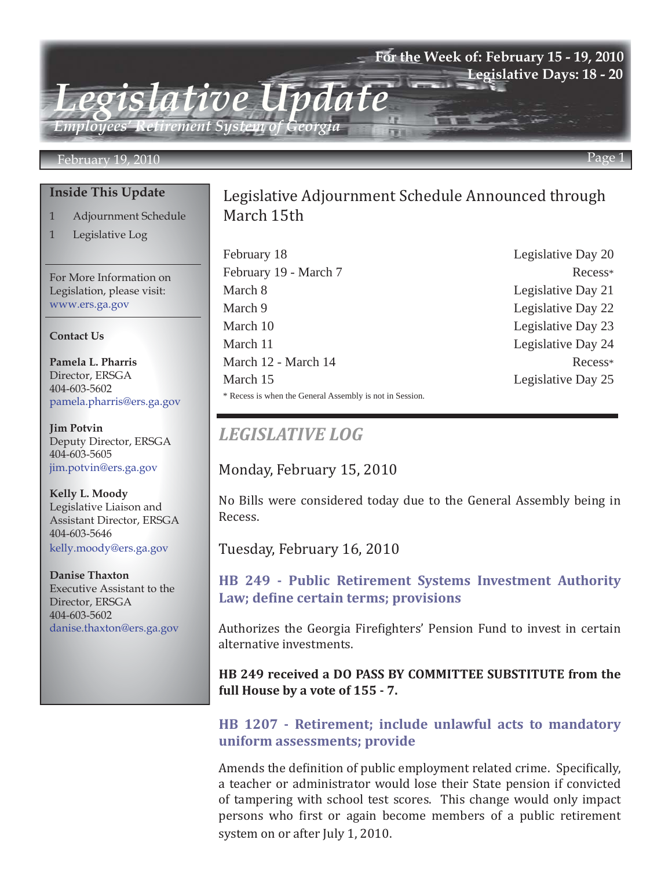## **For the Week of: February 15 - 19, 2010 Legislative Days: 18 - 20**

*Employees' Retirement System of Georgia*

*Legislative Update*

#### February 19, 2010 Page 1

#### **Inside This Update**

- 1 Adjournment Schedule
- 1 Legislative Log

For More Information on Legislation, please visit: www.ers.ga.gov

#### **Contact Us**

**Pamela L. Pharris** Director, ERSGA 404-603-5602 pamela.pharris@ers.ga.gov

**Jim Potvin** Deputy Director, ERSGA 404-603-5605 jim.potvin@ers.ga.gov

**Kelly L. Moody** Legislative Liaison and Assistant Director, ERSGA 404-603-5646 kelly.moody@ers.ga.gov

**Danise Thaxton** Executive Assistant to the Director, ERSGA 404-603-5602 danise.thaxton@ers.ga.gov

# Legislative Adjournment Schedule Announced through March 15th

February 18 Legislative Day 20 February 19 - March 7 Recess\* March 8 Legislative Day 21 March 9 Legislative Day 22 March 10 Legislative Day 23 March 11 Legislative Day 24 March 12 - March 14 Recess\* March 15 Legislative Day 25 \* Recess is when the General Assembly is not in Session.

# *LEGISLATIVE LOG*

Monday, February 15, 2010

No Bills were considered today due to the General Assembly being in Recess.

Tuesday, February 16, 2010

**[HB 249 - Public Retirement Systems Investment Authority](http://www.legis.ga.gov/legis/2009_10/sum/hb249.htm)  Law; define certain terms; provisions**

Authorizes the Georgia Firefighters' Pension Fund to invest in certain alternative investments.

**HB 249 received a DO PASS BY COMMITTEE SUBSTITUTE from the full House by a vote of 155 - 7.**

#### **[HB 1207 - Retirement; include unlawful acts to mandatory](http://www.legis.ga.gov/legis/2009_10/sum/hb1207.htm)  uniform assessments; provide**

Amends the definition of public employment related crime. Specifically, a teacher or administrator would lose their State pension if convicted of tampering with school test scores. This change would only impact persons who first or again become members of a public retirement system on or after July 1, 2010.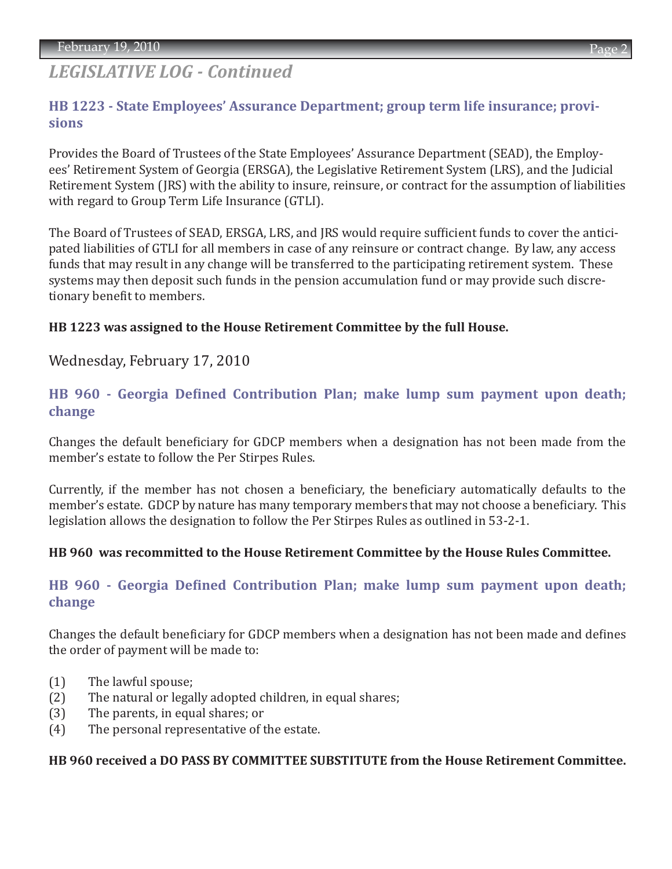# *LEGISLATIVE LOG - Continued*

# **[HB 1223 - State Employees' Assurance Department; group term life insurance; provi](http://www.legis.ga.gov/legis/2009_10/sum/hb1223.htm)sions**

Provides the Board of Trustees of the State Employees' Assurance Department (SEAD), the Employees' Retirement System of Georgia (ERSGA), the Legislative Retirement System (LRS), and the Judicial Retirement System (JRS) with the ability to insure, reinsure, or contract for the assumption of liabilities with regard to Group Term Life Insurance (GTLI).

The Board of Trustees of SEAD, ERSGA, LRS, and JRS would require sufficient funds to cover the anticipated liabilities of GTLI for all members in case of any reinsure or contract change. By law, any access funds that may result in any change will be transferred to the participating retirement system. These systems may then deposit such funds in the pension accumulation fund or may provide such discretionary benefit to members.

### **HB 1223 was assigned to the House Retirement Committee by the full House.**

Wednesday, February 17, 2010

## **[HB 960 - Georgia Defined Contribution Plan; make lump sum payment upon death;](http://www.legis.ga.gov/legis/2009_10/sum/hb960.htm)  change**

Changes the default beneficiary for GDCP members when a designation has not been made from the member's estate to follow the Per Stirpes Rules.

Currently, if the member has not chosen a beneficiary, the beneficiary automatically defaults to the member's estate. GDCP by nature has many temporary members that may not choose a beneficiary. This legislation allows the designation to follow the Per Stirpes Rules as outlined in 53-2-1.

#### **HB 960 was recommitted to the House Retirement Committee by the House Rules Committee.**

## **[HB 960 - Georgia Defined Contribution Plan; make lump sum payment upon death;](http://www.legis.ga.gov/legis/2009_10/sum/hb960.htm)  change**

Changes the default beneficiary for GDCP members when a designation has not been made and defines the order of payment will be made to:

- (1) The lawful spouse;
- (2) The natural or legally adopted children, in equal shares;
- (3) The parents, in equal shares; or
- (4) The personal representative of the estate.

#### **HB 960 received a DO PASS BY COMMITTEE SUBSTITUTE from the House Retirement Committee.**